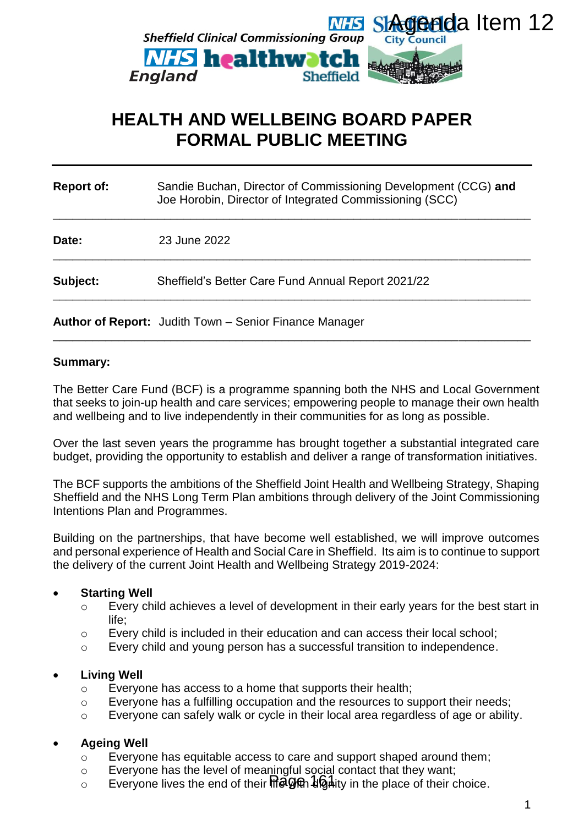

# **HEALTH AND WELLBEING BOARD PAPER FORMAL PUBLIC MEETING**

| <b>Report of:</b> | Sandie Buchan, Director of Commissioning Development (CCG) and<br>Joe Horobin, Director of Integrated Commissioning (SCC) |
|-------------------|---------------------------------------------------------------------------------------------------------------------------|
| Date:             | 23 June 2022                                                                                                              |
| Subject:          | Sheffield's Better Care Fund Annual Report 2021/22                                                                        |
|                   | <b>Author of Report:</b> Judith Town – Senior Finance Manager                                                             |

\_\_\_\_\_\_\_\_\_\_\_\_\_\_\_\_\_\_\_\_\_\_\_\_\_\_\_\_\_\_\_\_\_\_\_\_\_\_\_\_\_\_\_\_\_\_\_\_\_\_\_\_\_\_\_\_\_\_\_\_\_\_\_\_\_\_\_\_\_\_\_\_\_

## **Summary:**

The Better Care Fund (BCF) is a programme spanning both the NHS and Local Government that seeks to join-up health and care services; empowering people to manage their own health and wellbeing and to live independently in their communities for as long as possible.

Over the last seven years the programme has brought together a substantial integrated care budget, providing the opportunity to establish and deliver a range of transformation initiatives.

The BCF supports the ambitions of the Sheffield Joint Health and Wellbeing Strategy, Shaping Sheffield and the NHS Long Term Plan ambitions through delivery of the Joint Commissioning Intentions Plan and Programmes.

Building on the partnerships, that have become well established, we will improve outcomes and personal experience of Health and Social Care in Sheffield. Its aim is to continue to support the delivery of the current Joint Health and Wellbeing Strategy 2019-2024:

# **Starting Well**

- o Every child achieves a level of development in their early years for the best start in life;
- o Every child is included in their education and can access their local school;
- o Every child and young person has a successful transition to independence.

# **Living Well**

- o Everyone has access to a home that supports their health;
- o Everyone has a fulfilling occupation and the resources to support their needs;
- o Everyone can safely walk or cycle in their local area regardless of age or ability.

# **Ageing Well**

- o Everyone has equitable access to care and support shaped around them;
- o Everyone has the level of meaningful social contact that they want;
- Everyone lives the end of their  $\mathbf{H}\widetilde{\mathbf{G}}\widetilde{\mathbf{G}}$   $\mathbf{H}$  diginally in the place of their choice.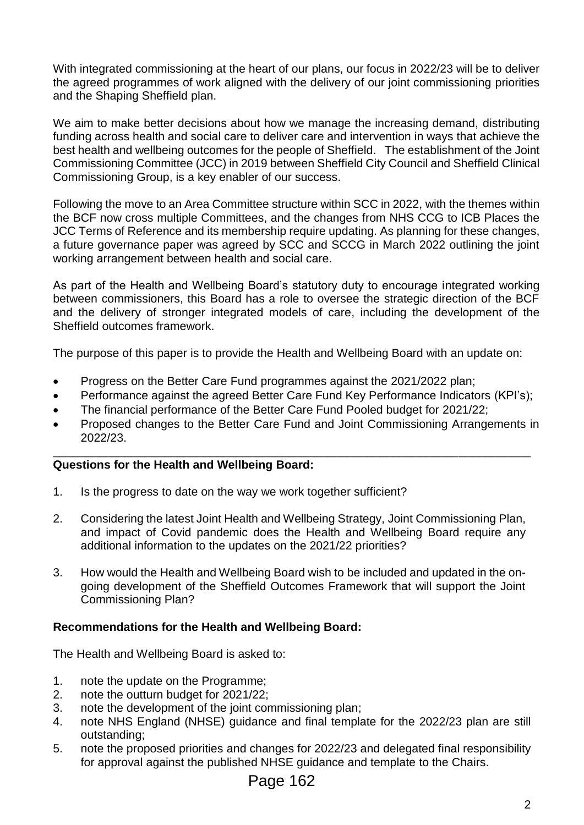With integrated commissioning at the heart of our plans, our focus in 2022/23 will be to deliver the agreed programmes of work aligned with the delivery of our joint commissioning priorities and the Shaping Sheffield plan.

We aim to make better decisions about how we manage the increasing demand, distributing funding across health and social care to deliver care and intervention in ways that achieve the best health and wellbeing outcomes for the people of Sheffield. The establishment of the Joint Commissioning Committee (JCC) in 2019 between Sheffield City Council and Sheffield Clinical Commissioning Group, is a key enabler of our success.

Following the move to an Area Committee structure within SCC in 2022, with the themes within the BCF now cross multiple Committees, and the changes from NHS CCG to ICB Places the JCC Terms of Reference and its membership require updating. As planning for these changes, a future governance paper was agreed by SCC and SCCG in March 2022 outlining the joint working arrangement between health and social care.

As part of the Health and Wellbeing Board's statutory duty to encourage integrated working between commissioners, this Board has a role to oversee the strategic direction of the BCF and the delivery of stronger integrated models of care, including the development of the Sheffield outcomes framework.

The purpose of this paper is to provide the Health and Wellbeing Board with an update on:

- Progress on the Better Care Fund programmes against the 2021/2022 plan;
- Performance against the agreed Better Care Fund Key Performance Indicators (KPI's);
- The financial performance of the Better Care Fund Pooled budget for 2021/22;
- Proposed changes to the Better Care Fund and Joint Commissioning Arrangements in 2022/23.

#### \_\_\_\_\_\_\_\_\_\_\_\_\_\_\_\_\_\_\_\_\_\_\_\_\_\_\_\_\_\_\_\_\_\_\_\_\_\_\_\_\_\_\_\_\_\_\_\_\_\_\_\_\_\_\_\_\_\_\_\_\_\_\_\_\_\_\_\_\_\_\_\_\_ **Questions for the Health and Wellbeing Board:**

- 1. Is the progress to date on the way we work together sufficient?
- 2. Considering the latest Joint Health and Wellbeing Strategy, Joint Commissioning Plan, and impact of Covid pandemic does the Health and Wellbeing Board require any additional information to the updates on the 2021/22 priorities?
- 3. How would the Health and Wellbeing Board wish to be included and updated in the ongoing development of the Sheffield Outcomes Framework that will support the Joint Commissioning Plan?

# **Recommendations for the Health and Wellbeing Board:**

The Health and Wellbeing Board is asked to:

- 1. note the update on the Programme;
- 2. note the outturn budget for 2021/22;
- 3. note the development of the joint commissioning plan;
- 4. note NHS England (NHSE) guidance and final template for the 2022/23 plan are still outstanding;
- 5. note the proposed priorities and changes for 2022/23 and delegated final responsibility for approval against the published NHSE guidance and template to the Chairs.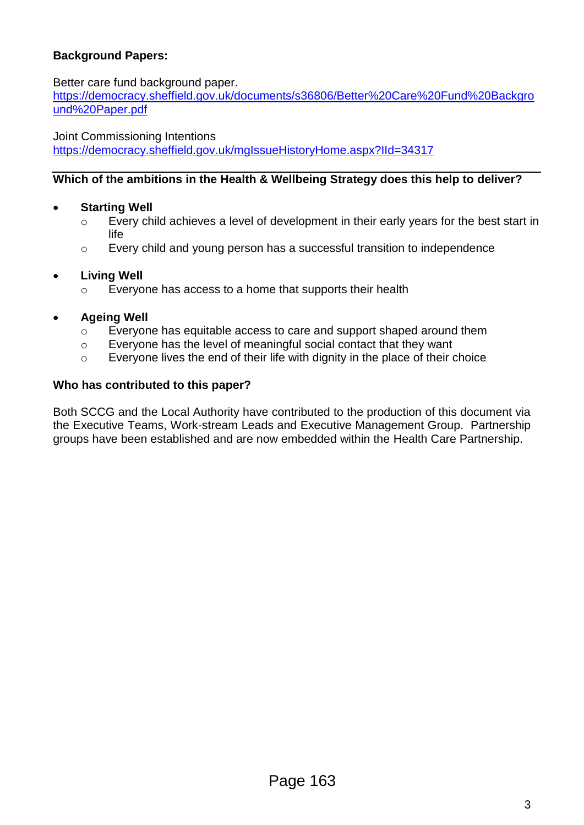# **Background Papers:**

## Better care fund background paper.

[https://democracy.sheffield.gov.uk/documents/s36806/Better%20Care%20Fund%20Backgro](https://democracy.sheffield.gov.uk/documents/s36806/Better%20Care%20Fund%20Background%20Paper.pdf) [und%20Paper.pdf](https://democracy.sheffield.gov.uk/documents/s36806/Better%20Care%20Fund%20Background%20Paper.pdf)

Joint Commissioning Intentions <https://democracy.sheffield.gov.uk/mgIssueHistoryHome.aspx?IId=34317>

## **Which of the ambitions in the Health & Wellbeing Strategy does this help to deliver?**

## **Starting Well**

- o Every child achieves a level of development in their early years for the best start in life
- o Every child and young person has a successful transition to independence

## **Living Well**

o Everyone has access to a home that supports their health

# **Ageing Well**

- o Everyone has equitable access to care and support shaped around them
- o Everyone has the level of meaningful social contact that they want
- o Everyone lives the end of their life with dignity in the place of their choice

## **Who has contributed to this paper?**

Both SCCG and the Local Authority have contributed to the production of this document via the Executive Teams, Work-stream Leads and Executive Management Group. Partnership groups have been established and are now embedded within the Health Care Partnership.